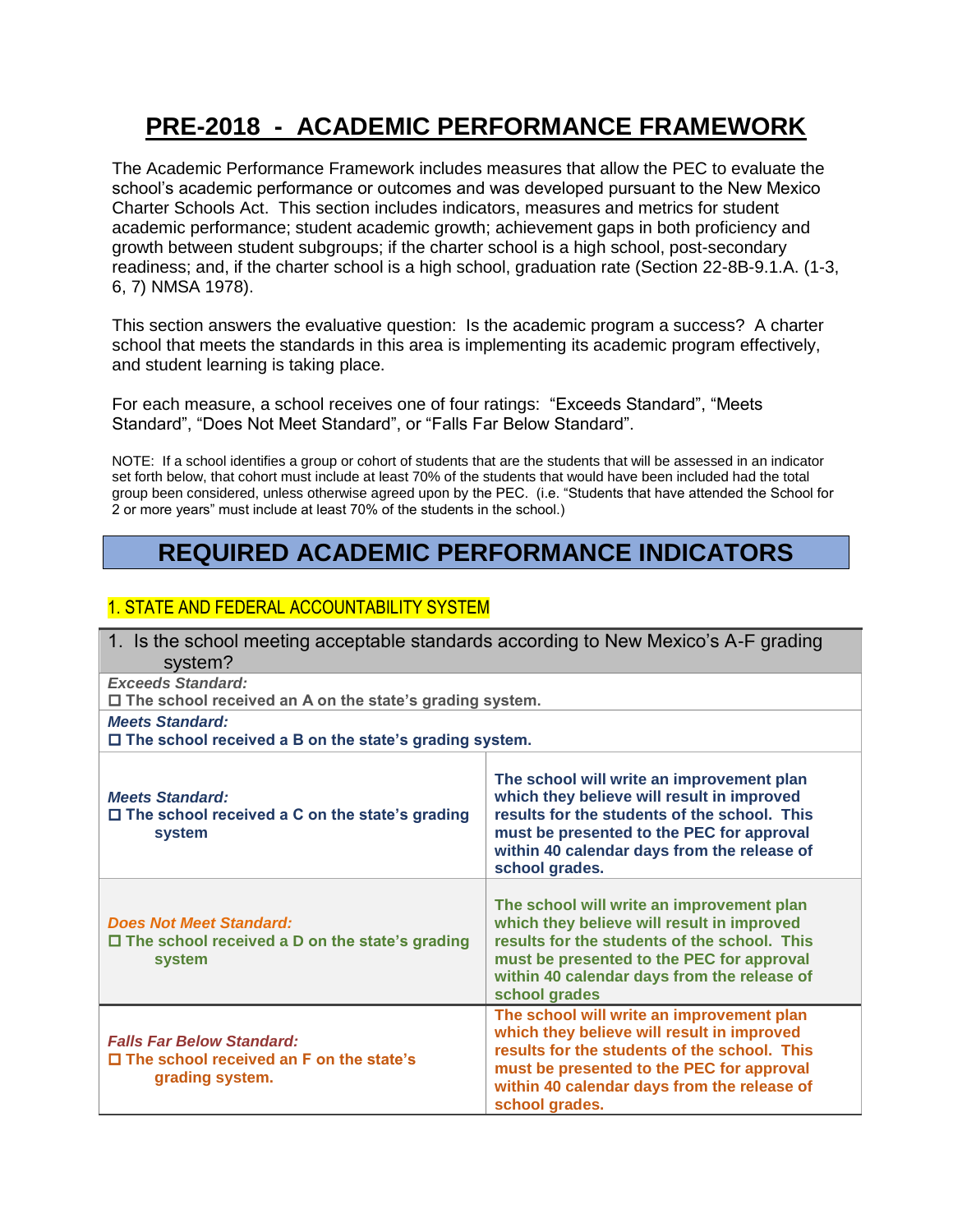# **PRE-2018 - ACADEMIC PERFORMANCE FRAMEWORK**

The Academic Performance Framework includes measures that allow the PEC to evaluate the school's academic performance or outcomes and was developed pursuant to the New Mexico Charter Schools Act. This section includes indicators, measures and metrics for student academic performance; student academic growth; achievement gaps in both proficiency and growth between student subgroups; if the charter school is a high school, post-secondary readiness; and, if the charter school is a high school, graduation rate (Section 22-8B-9.1.A. (1-3, 6, 7) NMSA 1978).

This section answers the evaluative question: Is the academic program a success? A charter school that meets the standards in this area is implementing its academic program effectively, and student learning is taking place.

For each measure, a school receives one of four ratings: "Exceeds Standard", "Meets Standard", "Does Not Meet Standard", or "Falls Far Below Standard".

NOTE: If a school identifies a group or cohort of students that are the students that will be assessed in an indicator set forth below, that cohort must include at least 70% of the students that would have been included had the total group been considered, unless otherwise agreed upon by the PEC. (i.e. "Students that have attended the School for 2 or more years" must include at least 70% of the students in the school.)

## **REQUIRED ACADEMIC PERFORMANCE INDICATORS**

### 1. STATE AND FEDERAL ACCOUNTABILITY SYSTEM

| 1. Is the school meeting acceptable standards according to New Mexico's A-F grading<br>system?        |                                                                                                                                                                                                                                                       |
|-------------------------------------------------------------------------------------------------------|-------------------------------------------------------------------------------------------------------------------------------------------------------------------------------------------------------------------------------------------------------|
| <b>Exceeds Standard:</b><br>$\square$ The school received an A on the state's grading system.         |                                                                                                                                                                                                                                                       |
| <b>Meets Standard:</b><br>$\Box$ The school received a B on the state's grading system.               |                                                                                                                                                                                                                                                       |
| <b>Meets Standard:</b><br>$\Box$ The school received a C on the state's grading<br>system             | The school will write an improvement plan<br>which they believe will result in improved<br>results for the students of the school. This<br>must be presented to the PEC for approval<br>within 40 calendar days from the release of<br>school grades. |
| <b>Does Not Meet Standard:</b><br>$\Box$ The school received a D on the state's grading<br>system     | The school will write an improvement plan<br>which they believe will result in improved<br>results for the students of the school. This<br>must be presented to the PEC for approval<br>within 40 calendar days from the release of<br>school grades  |
| <b>Falls Far Below Standard:</b><br>$\Box$ The school received an F on the state's<br>grading system. | The school will write an improvement plan<br>which they believe will result in improved<br>results for the students of the school. This<br>must be presented to the PEC for approval<br>within 40 calendar days from the release of<br>school grades. |